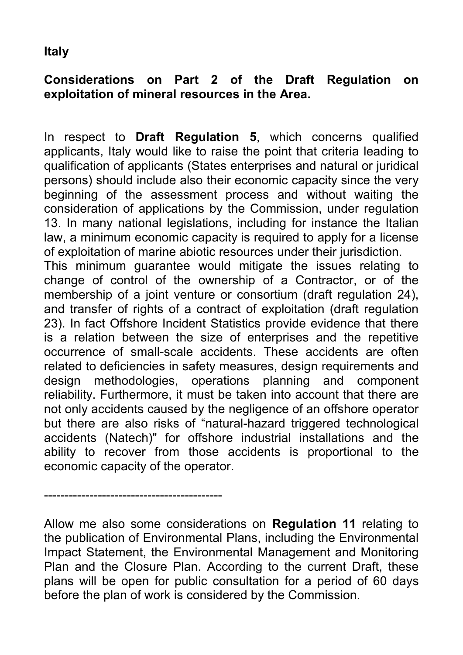## **Italy**

## **Considerations on Part 2 of the Draft Regulation on exploitation of mineral resources in the Area.**

In respect to **Draft Regulation 5**, which concerns qualified applicants, Italy would like to raise the point that criteria leading to qualification of applicants (States enterprises and natural or juridical persons) should include also their economic capacity since the very beginning of the assessment process and without waiting the consideration of applications by the Commission, under regulation 13. In many national legislations, including for instance the Italian law, a minimum economic capacity is required to apply for a license of exploitation of marine abiotic resources under their jurisdiction.

This minimum guarantee would mitigate the issues relating to change of control of the ownership of a Contractor, or of the membership of a joint venture or consortium (draft regulation 24), and transfer of rights of a contract of exploitation (draft regulation 23). In fact Offshore Incident Statistics provide evidence that there is a relation between the size of enterprises and the repetitive occurrence of small-scale accidents. These accidents are often related to deficiencies in safety measures, design requirements and design methodologies, operations planning and component reliability. Furthermore, it must be taken into account that there are not only accidents caused by the negligence of an offshore operator but there are also risks of "natural-hazard triggered technological accidents (Natech)" for offshore industrial installations and the ability to recover from those accidents is proportional to the economic capacity of the operator.

Allow me also some considerations on **Regulation 11** relating to the publication of Environmental Plans, including the Environmental Impact Statement, the Environmental Management and Monitoring Plan and the Closure Plan. According to the current Draft, these plans will be open for public consultation for a period of 60 days before the plan of work is considered by the Commission.

-------------------------------------------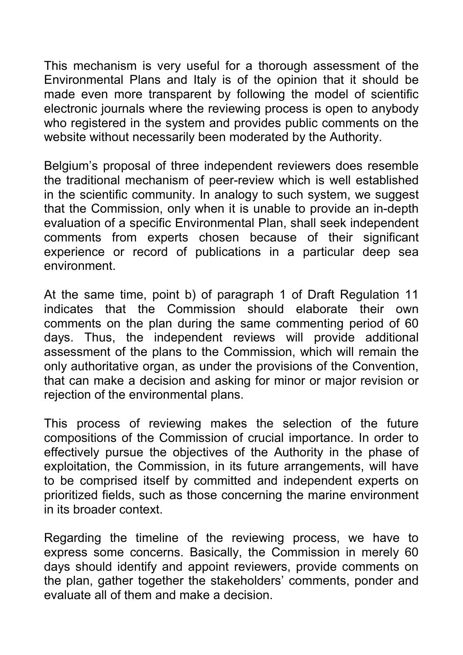This mechanism is very useful for a thorough assessment of the Environmental Plans and Italy is of the opinion that it should be made even more transparent by following the model of scientific electronic journals where the reviewing process is open to anybody who registered in the system and provides public comments on the website without necessarily been moderated by the Authority.

Belgium's proposal of three independent reviewers does resemble the traditional mechanism of peer-review which is well established in the scientific community. In analogy to such system, we suggest that the Commission, only when it is unable to provide an in-depth evaluation of a specific Environmental Plan, shall seek independent comments from experts chosen because of their significant experience or record of publications in a particular deep sea environment.

At the same time, point b) of paragraph 1 of Draft Regulation 11 indicates that the Commission should elaborate their own comments on the plan during the same commenting period of 60 days. Thus, the independent reviews will provide additional assessment of the plans to the Commission, which will remain the only authoritative organ, as under the provisions of the Convention, that can make a decision and asking for minor or major revision or rejection of the environmental plans.

This process of reviewing makes the selection of the future compositions of the Commission of crucial importance. In order to effectively pursue the objectives of the Authority in the phase of exploitation, the Commission, in its future arrangements, will have to be comprised itself by committed and independent experts on prioritized fields, such as those concerning the marine environment in its broader context.

Regarding the timeline of the reviewing process, we have to express some concerns. Basically, the Commission in merely 60 days should identify and appoint reviewers, provide comments on the plan, gather together the stakeholders' comments, ponder and evaluate all of them and make a decision.